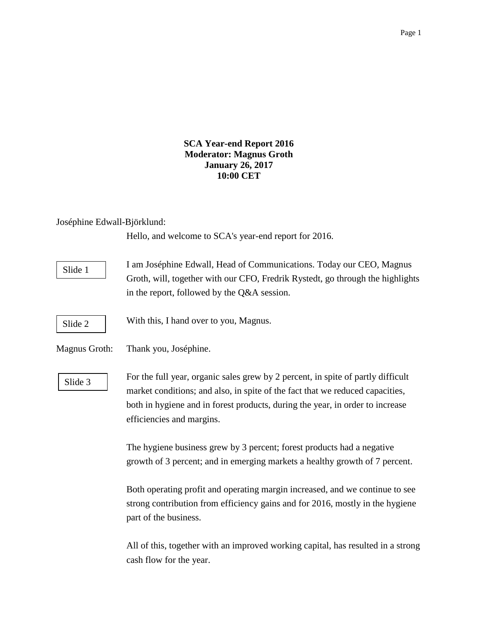**SCA Year-end Report 2016 Moderator: Magnus Groth January 26, 2017 10:00 CET**

# Joséphine Edwall-Björklund:

Hello, and welcome to SCA's year-end report for 2016.

I am Joséphine Edwall, Head of Communications. Today our CEO, Magnus Groth, will, together with our CFO, Fredrik Rystedt, go through the highlights in the report, followed by the Q&A session. With this, I hand over to you, Magnus. Magnus Groth: Thank you, Joséphine. For the full year, organic sales grew by 2 percent, in spite of partly difficult market conditions; and also, in spite of the fact that we reduced capacities, both in hygiene and in forest products, during the year, in order to increase efficiencies and margins. The hygiene business grew by 3 percent; forest products had a negative growth of 3 percent; and in emerging markets a healthy growth of 7 percent. Slide 2 Slide 1 Slide 3

Both operating profit and operating margin increased, and we continue to see strong contribution from efficiency gains and for 2016, mostly in the hygiene part of the business.

All of this, together with an improved working capital, has resulted in a strong cash flow for the year.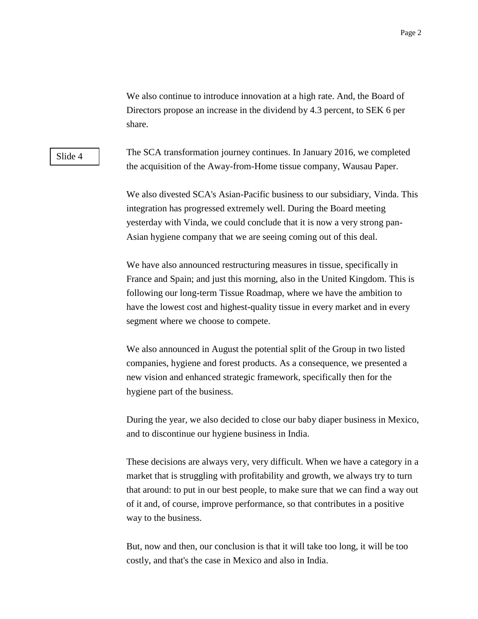We also continue to introduce innovation at a high rate. And, the Board of Directors propose an increase in the dividend by 4.3 percent, to SEK 6 per share.

Slide 4

The SCA transformation journey continues. In January 2016, we completed the acquisition of the Away-from-Home tissue company, Wausau Paper.

We also divested SCA's Asian-Pacific business to our subsidiary, Vinda. This integration has progressed extremely well. During the Board meeting yesterday with Vinda, we could conclude that it is now a very strong pan-Asian hygiene company that we are seeing coming out of this deal.

We have also announced restructuring measures in tissue, specifically in France and Spain; and just this morning, also in the United Kingdom. This is following our long-term Tissue Roadmap, where we have the ambition to have the lowest cost and highest-quality tissue in every market and in every segment where we choose to compete.

We also announced in August the potential split of the Group in two listed companies, hygiene and forest products. As a consequence, we presented a new vision and enhanced strategic framework, specifically then for the hygiene part of the business.

During the year, we also decided to close our baby diaper business in Mexico, and to discontinue our hygiene business in India.

These decisions are always very, very difficult. When we have a category in a market that is struggling with profitability and growth, we always try to turn that around: to put in our best people, to make sure that we can find a way out of it and, of course, improve performance, so that contributes in a positive way to the business.

But, now and then, our conclusion is that it will take too long, it will be too costly, and that's the case in Mexico and also in India.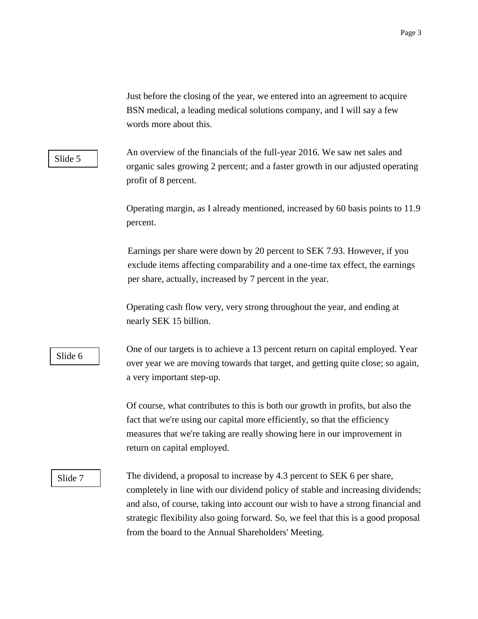Just before the closing of the year, we entered into an agreement to acquire BSN medical, a leading medical solutions company, and I will say a few words more about this.

## Slide 5

An overview of the financials of the full-year 2016. We saw net sales and organic sales growing 2 percent; and a faster growth in our adjusted operating profit of 8 percent.

Operating margin, as I already mentioned, increased by 60 basis points to 11.9 percent.

Earnings per share were down by 20 percent to SEK 7.93. However, if you exclude items affecting comparability and a one-time tax effect, the earnings per share, actually, increased by 7 percent in the year.

Operating cash flow very, very strong throughout the year, and ending at nearly SEK 15 billion.

# Slide 6

One of our targets is to achieve a 13 percent return on capital employed. Year over year we are moving towards that target, and getting quite close; so again, a very important step-up.

Of course, what contributes to this is both our growth in profits, but also the fact that we're using our capital more efficiently, so that the efficiency measures that we're taking are really showing here in our improvement in return on capital employed.

### Slide 7

The dividend, a proposal to increase by 4.3 percent to SEK 6 per share, completely in line with our dividend policy of stable and increasing dividends; and also, of course, taking into account our wish to have a strong financial and strategic flexibility also going forward. So, we feel that this is a good proposal from the board to the Annual Shareholders' Meeting.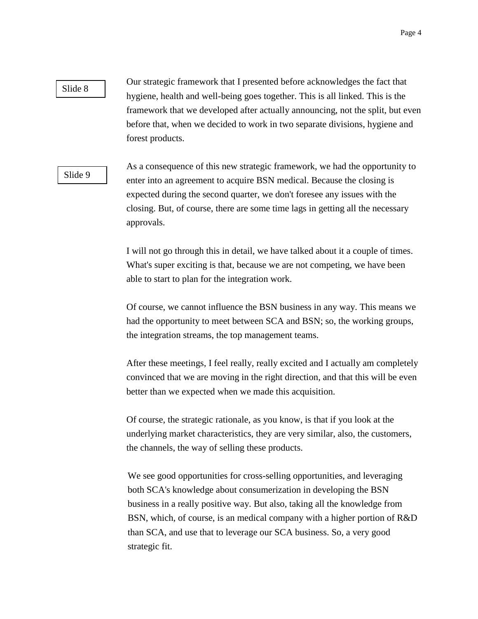## Slide 8

Our strategic framework that I presented before acknowledges the fact that hygiene, health and well-being goes together. This is all linked. This is the framework that we developed after actually announcing, not the split, but even before that, when we decided to work in two separate divisions, hygiene and forest products.

### Slide 9

As a consequence of this new strategic framework, we had the opportunity to enter into an agreement to acquire BSN medical. Because the closing is expected during the second quarter, we don't foresee any issues with the closing. But, of course, there are some time lags in getting all the necessary approvals.

I will not go through this in detail, we have talked about it a couple of times. What's super exciting is that, because we are not competing, we have been able to start to plan for the integration work.

Of course, we cannot influence the BSN business in any way. This means we had the opportunity to meet between SCA and BSN; so, the working groups, the integration streams, the top management teams.

After these meetings, I feel really, really excited and I actually am completely convinced that we are moving in the right direction, and that this will be even better than we expected when we made this acquisition.

Of course, the strategic rationale, as you know, is that if you look at the underlying market characteristics, they are very similar, also, the customers, the channels, the way of selling these products.

We see good opportunities for cross-selling opportunities, and leveraging both SCA's knowledge about consumerization in developing the BSN business in a really positive way. But also, taking all the knowledge from BSN, which, of course, is an medical company with a higher portion of R&D than SCA, and use that to leverage our SCA business. So, a very good strategic fit.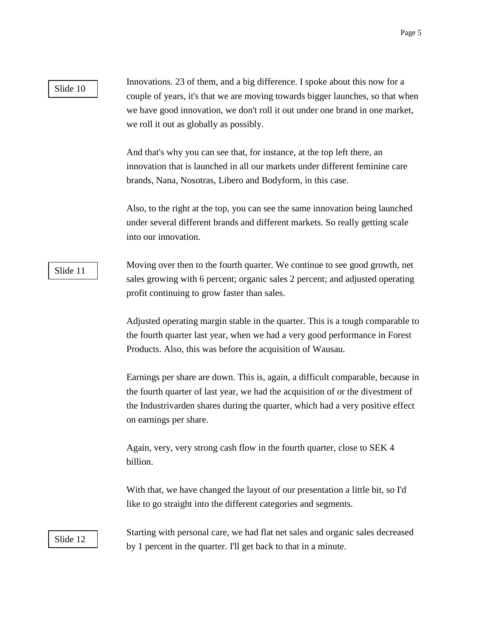## Slide 10

Innovations. 23 of them, and a big difference. I spoke about this now for a couple of years, it's that we are moving towards bigger launches, so that when we have good innovation, we don't roll it out under one brand in one market, we roll it out as globally as possibly.

And that's why you can see that, for instance, at the top left there, an innovation that is launched in all our markets under different feminine care brands, Nana, Nosotras, Libero and Bodyform, in this case.

Also, to the right at the top, you can see the same innovation being launched under several different brands and different markets. So really getting scale into our innovation.

## Slide 11

Moving over then to the fourth quarter. We continue to see good growth, net sales growing with 6 percent; organic sales 2 percent; and adjusted operating profit continuing to grow faster than sales.

Adjusted operating margin stable in the quarter. This is a tough comparable to the fourth quarter last year, when we had a very good performance in Forest Products. Also, this was before the acquisition of Wausau.

Earnings per share are down. This is, again, a difficult comparable, because in the fourth quarter of last year, we had the acquisition of or the divestment of the Industrivarden shares during the quarter, which had a very positive effect on earnings per share.

Again, very, very strong cash flow in the fourth quarter, close to SEK 4 billion.

With that, we have changed the layout of our presentation a little bit, so I'd like to go straight into the different categories and segments.

Slide 12

Starting with personal care, we had flat net sales and organic sales decreased by 1 percent in the quarter. I'll get back to that in a minute.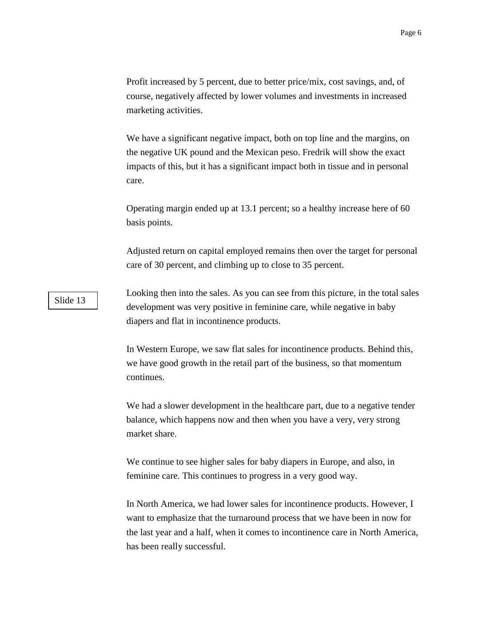Profit increased by 5 percent, due to better price/mix, cost savings, and, of course, negatively affected by lower volumes and investments in increased marketing activities.

We have a significant negative impact, both on top line and the margins, on the negative UK pound and the Mexican peso. Fredrik will show the exact impacts of this, but it has a significant impact both in tissue and in personal care.

Operating margin ended up at 13.1 percent; so a healthy increase here of 60 basis points.

Adjusted return on capital employed remains then over the target for personal care of 30 percent, and climbing up to close to 35 percent.

Looking then into the sales. As you can see from this picture, in the total sales development was very positive in feminine care, while negative in baby diapers and flat in incontinence products.

In Western Europe, we saw flat sales for incontinence products. Behind this, we have good growth in the retail part of the business, so that momentum continues.

We had a slower development in the healthcare part, due to a negative tender balance, which happens now and then when you have a very, very strong market share.

We continue to see higher sales for baby diapers in Europe, and also, in feminine care. This continues to progress in a very good way.

In North America, we had lower sales for incontinence products. However, I want to emphasize that the turnaround process that we have been in now for the last year and a half, when it comes to incontinence care in North America, has been really successful.

Slide 13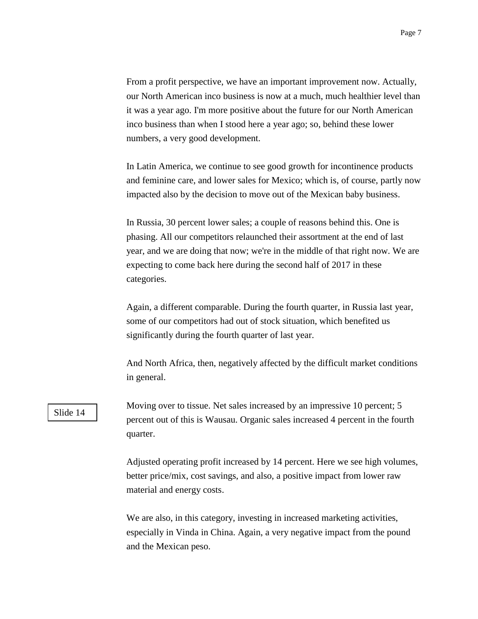From a profit perspective, we have an important improvement now. Actually, our North American inco business is now at a much, much healthier level than it was a year ago. I'm more positive about the future for our North American inco business than when I stood here a year ago; so, behind these lower numbers, a very good development.

In Latin America, we continue to see good growth for incontinence products and feminine care, and lower sales for Mexico; which is, of course, partly now impacted also by the decision to move out of the Mexican baby business.

In Russia, 30 percent lower sales; a couple of reasons behind this. One is phasing. All our competitors relaunched their assortment at the end of last year, and we are doing that now; we're in the middle of that right now. We are expecting to come back here during the second half of 2017 in these categories.

Again, a different comparable. During the fourth quarter, in Russia last year, some of our competitors had out of stock situation, which benefited us significantly during the fourth quarter of last year.

And North Africa, then, negatively affected by the difficult market conditions in general.

# Slide 14

Moving over to tissue. Net sales increased by an impressive 10 percent; 5 percent out of this is Wausau. Organic sales increased 4 percent in the fourth quarter.

Adjusted operating profit increased by 14 percent. Here we see high volumes, better price/mix, cost savings, and also, a positive impact from lower raw material and energy costs.

We are also, in this category, investing in increased marketing activities, especially in Vinda in China. Again, a very negative impact from the pound and the Mexican peso.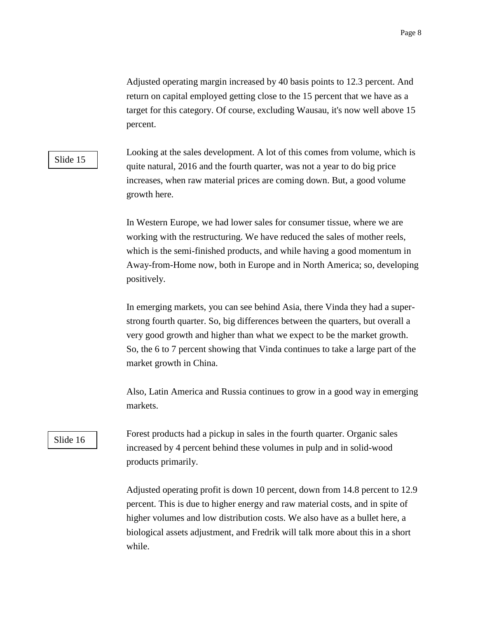Adjusted operating margin increased by 40 basis points to 12.3 percent. And return on capital employed getting close to the 15 percent that we have as a target for this category. Of course, excluding Wausau, it's now well above 15 percent.

## Slide 15

Looking at the sales development. A lot of this comes from volume, which is quite natural, 2016 and the fourth quarter, was not a year to do big price increases, when raw material prices are coming down. But, a good volume growth here.

In Western Europe, we had lower sales for consumer tissue, where we are working with the restructuring. We have reduced the sales of mother reels, which is the semi-finished products, and while having a good momentum in Away-from-Home now, both in Europe and in North America; so, developing positively.

In emerging markets, you can see behind Asia, there Vinda they had a superstrong fourth quarter. So, big differences between the quarters, but overall a very good growth and higher than what we expect to be the market growth. So, the 6 to 7 percent showing that Vinda continues to take a large part of the market growth in China.

Also, Latin America and Russia continues to grow in a good way in emerging markets.

## Slide 16

Forest products had a pickup in sales in the fourth quarter. Organic sales increased by 4 percent behind these volumes in pulp and in solid-wood products primarily.

Adjusted operating profit is down 10 percent, down from 14.8 percent to 12.9 percent. This is due to higher energy and raw material costs, and in spite of higher volumes and low distribution costs. We also have as a bullet here, a biological assets adjustment, and Fredrik will talk more about this in a short while.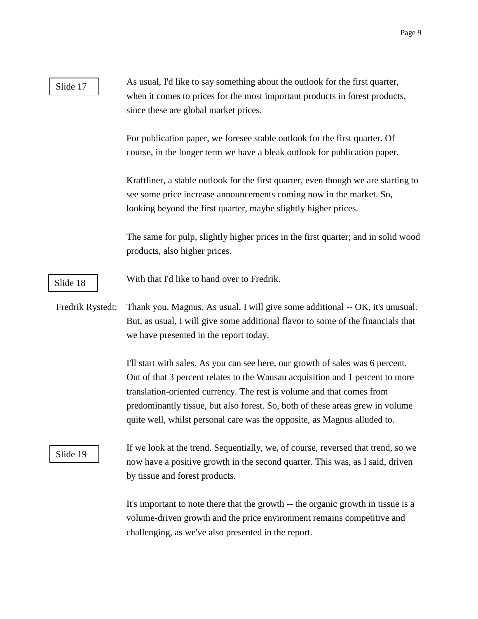| Slide 17         | As usual, I'd like to say something about the outlook for the first quarter,<br>when it comes to prices for the most important products in forest products,<br>since these are global market prices.                                                                                                                                                                                                  |
|------------------|-------------------------------------------------------------------------------------------------------------------------------------------------------------------------------------------------------------------------------------------------------------------------------------------------------------------------------------------------------------------------------------------------------|
|                  | For publication paper, we foresee stable outlook for the first quarter. Of<br>course, in the longer term we have a bleak outlook for publication paper.                                                                                                                                                                                                                                               |
|                  | Kraftliner, a stable outlook for the first quarter, even though we are starting to<br>see some price increase announcements coming now in the market. So,<br>looking beyond the first quarter, maybe slightly higher prices.                                                                                                                                                                          |
|                  | The same for pulp, slightly higher prices in the first quarter; and in solid wood<br>products, also higher prices.                                                                                                                                                                                                                                                                                    |
| Slide 18         | With that I'd like to hand over to Fredrik.                                                                                                                                                                                                                                                                                                                                                           |
| Fredrik Rystedt: | Thank you, Magnus. As usual, I will give some additional -- OK, it's unusual.<br>But, as usual, I will give some additional flavor to some of the financials that<br>we have presented in the report today.                                                                                                                                                                                           |
|                  | I'll start with sales. As you can see here, our growth of sales was 6 percent.<br>Out of that 3 percent relates to the Wausau acquisition and 1 percent to more<br>translation-oriented currency. The rest is volume and that comes from<br>predominantly tissue, but also forest. So, both of these areas grew in volume<br>quite well, whilst personal care was the opposite, as Magnus alluded to. |
| Slide 19         | If we look at the trend. Sequentially, we, of course, reversed that trend, so we<br>now have a positive growth in the second quarter. This was, as I said, driven<br>by tissue and forest products.                                                                                                                                                                                                   |
|                  | It's important to note there that the growth -- the organic growth in tissue is a                                                                                                                                                                                                                                                                                                                     |

volume-driven growth and the price environment remains competitive and challenging, as we've also presented in the report.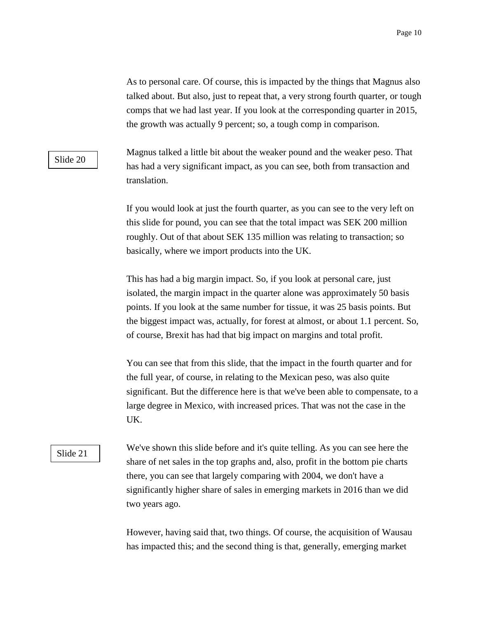As to personal care. Of course, this is impacted by the things that Magnus also talked about. But also, just to repeat that, a very strong fourth quarter, or tough comps that we had last year. If you look at the corresponding quarter in 2015, the growth was actually 9 percent; so, a tough comp in comparison.

# Slide 20

Magnus talked a little bit about the weaker pound and the weaker peso. That has had a very significant impact, as you can see, both from transaction and translation.

If you would look at just the fourth quarter, as you can see to the very left on this slide for pound, you can see that the total impact was SEK 200 million roughly. Out of that about SEK 135 million was relating to transaction; so basically, where we import products into the UK.

This has had a big margin impact. So, if you look at personal care, just isolated, the margin impact in the quarter alone was approximately 50 basis points. If you look at the same number for tissue, it was 25 basis points. But the biggest impact was, actually, for forest at almost, or about 1.1 percent. So, of course, Brexit has had that big impact on margins and total profit.

You can see that from this slide, that the impact in the fourth quarter and for the full year, of course, in relating to the Mexican peso, was also quite significant. But the difference here is that we've been able to compensate, to a large degree in Mexico, with increased prices. That was not the case in the UK.

### Slide 21

We've shown this slide before and it's quite telling. As you can see here the share of net sales in the top graphs and, also, profit in the bottom pie charts there, you can see that largely comparing with 2004, we don't have a significantly higher share of sales in emerging markets in 2016 than we did two years ago.

However, having said that, two things. Of course, the acquisition of Wausau has impacted this; and the second thing is that, generally, emerging market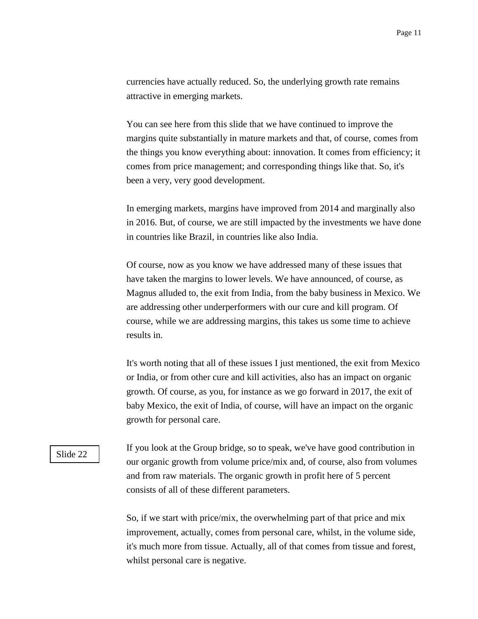currencies have actually reduced. So, the underlying growth rate remains attractive in emerging markets.

You can see here from this slide that we have continued to improve the margins quite substantially in mature markets and that, of course, comes from the things you know everything about: innovation. It comes from efficiency; it comes from price management; and corresponding things like that. So, it's been a very, very good development.

In emerging markets, margins have improved from 2014 and marginally also in 2016. But, of course, we are still impacted by the investments we have done in countries like Brazil, in countries like also India.

Of course, now as you know we have addressed many of these issues that have taken the margins to lower levels. We have announced, of course, as Magnus alluded to, the exit from India, from the baby business in Mexico. We are addressing other underperformers with our cure and kill program. Of course, while we are addressing margins, this takes us some time to achieve results in.

It's worth noting that all of these issues I just mentioned, the exit from Mexico or India, or from other cure and kill activities, also has an impact on organic growth. Of course, as you, for instance as we go forward in 2017, the exit of baby Mexico, the exit of India, of course, will have an impact on the organic growth for personal care.

If you look at the Group bridge, so to speak, we've have good contribution in our organic growth from volume price/mix and, of course, also from volumes and from raw materials. The organic growth in profit here of 5 percent consists of all of these different parameters.

So, if we start with price/mix, the overwhelming part of that price and mix improvement, actually, comes from personal care, whilst, in the volume side, it's much more from tissue. Actually, all of that comes from tissue and forest, whilst personal care is negative.

## Slide 22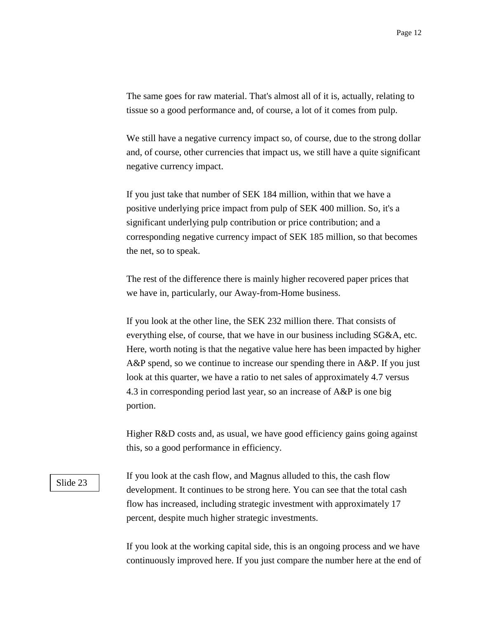The same goes for raw material. That's almost all of it is, actually, relating to tissue so a good performance and, of course, a lot of it comes from pulp.

We still have a negative currency impact so, of course, due to the strong dollar and, of course, other currencies that impact us, we still have a quite significant negative currency impact.

If you just take that number of SEK 184 million, within that we have a positive underlying price impact from pulp of SEK 400 million. So, it's a significant underlying pulp contribution or price contribution; and a corresponding negative currency impact of SEK 185 million, so that becomes the net, so to speak.

The rest of the difference there is mainly higher recovered paper prices that we have in, particularly, our Away-from-Home business.

If you look at the other line, the SEK 232 million there. That consists of everything else, of course, that we have in our business including SG&A, etc. Here, worth noting is that the negative value here has been impacted by higher A&P spend, so we continue to increase our spending there in A&P. If you just look at this quarter, we have a ratio to net sales of approximately 4.7 versus 4.3 in corresponding period last year, so an increase of A&P is one big portion.

Higher R&D costs and, as usual, we have good efficiency gains going against this, so a good performance in efficiency.

#### Slide 23

If you look at the cash flow, and Magnus alluded to this, the cash flow development. It continues to be strong here. You can see that the total cash flow has increased, including strategic investment with approximately 17 percent, despite much higher strategic investments.

If you look at the working capital side, this is an ongoing process and we have continuously improved here. If you just compare the number here at the end of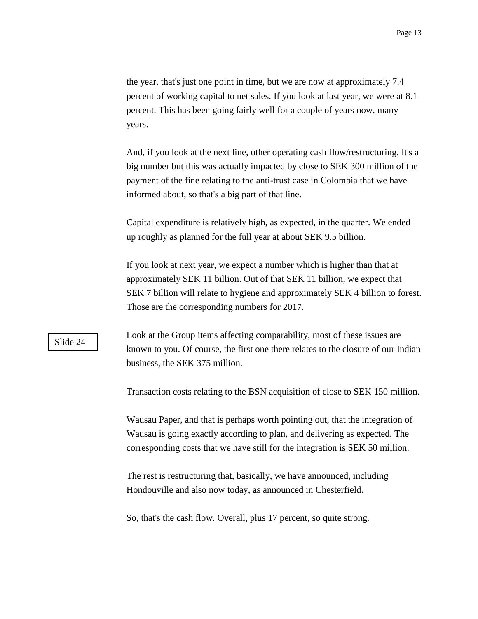the year, that's just one point in time, but we are now at approximately 7.4 percent of working capital to net sales. If you look at last year, we were at 8.1 percent. This has been going fairly well for a couple of years now, many years.

And, if you look at the next line, other operating cash flow/restructuring. It's a big number but this was actually impacted by close to SEK 300 million of the payment of the fine relating to the anti-trust case in Colombia that we have informed about, so that's a big part of that line.

Capital expenditure is relatively high, as expected, in the quarter. We ended up roughly as planned for the full year at about SEK 9.5 billion.

If you look at next year, we expect a number which is higher than that at approximately SEK 11 billion. Out of that SEK 11 billion, we expect that SEK 7 billion will relate to hygiene and approximately SEK 4 billion to forest. Those are the corresponding numbers for 2017.

### Slide 24

Look at the Group items affecting comparability, most of these issues are known to you. Of course, the first one there relates to the closure of our Indian business, the SEK 375 million.

Transaction costs relating to the BSN acquisition of close to SEK 150 million.

Wausau Paper, and that is perhaps worth pointing out, that the integration of Wausau is going exactly according to plan, and delivering as expected. The corresponding costs that we have still for the integration is SEK 50 million.

The rest is restructuring that, basically, we have announced, including Hondouville and also now today, as announced in Chesterfield.

So, that's the cash flow. Overall, plus 17 percent, so quite strong.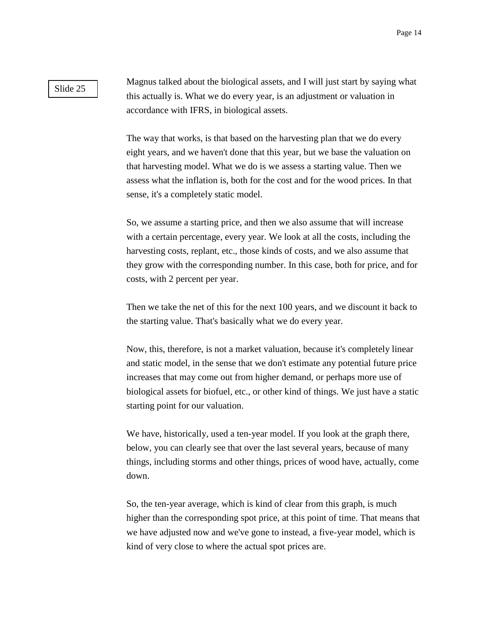### Slide 25

Magnus talked about the biological assets, and I will just start by saying what this actually is. What we do every year, is an adjustment or valuation in accordance with IFRS, in biological assets.

The way that works, is that based on the harvesting plan that we do every eight years, and we haven't done that this year, but we base the valuation on that harvesting model. What we do is we assess a starting value. Then we assess what the inflation is, both for the cost and for the wood prices. In that sense, it's a completely static model.

So, we assume a starting price, and then we also assume that will increase with a certain percentage, every year. We look at all the costs, including the harvesting costs, replant, etc., those kinds of costs, and we also assume that they grow with the corresponding number. In this case, both for price, and for costs, with 2 percent per year.

Then we take the net of this for the next 100 years, and we discount it back to the starting value. That's basically what we do every year.

Now, this, therefore, is not a market valuation, because it's completely linear and static model, in the sense that we don't estimate any potential future price increases that may come out from higher demand, or perhaps more use of biological assets for biofuel, etc., or other kind of things. We just have a static starting point for our valuation.

We have, historically, used a ten-year model. If you look at the graph there, below, you can clearly see that over the last several years, because of many things, including storms and other things, prices of wood have, actually, come down.

So, the ten-year average, which is kind of clear from this graph, is much higher than the corresponding spot price, at this point of time. That means that we have adjusted now and we've gone to instead, a five-year model, which is kind of very close to where the actual spot prices are.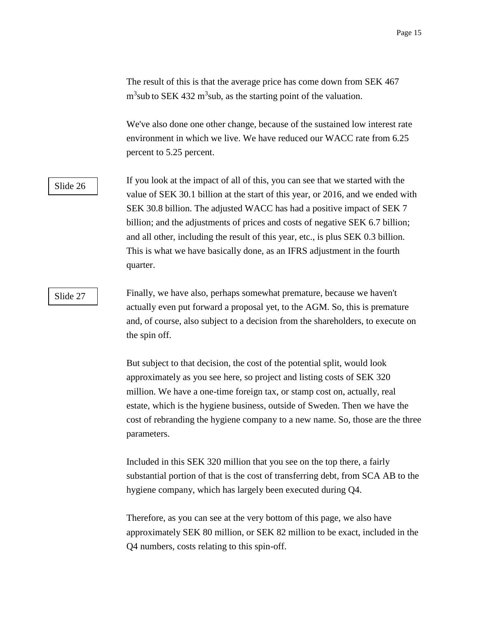The result of this is that the average price has come down from SEK 467  $m<sup>3</sup>$ sub to SEK 432 m<sup>3</sup>sub, as the starting point of the valuation.

We've also done one other change, because of the sustained low interest rate environment in which we live. We have reduced our WACC rate from 6.25 percent to 5.25 percent.

## Slide 26

If you look at the impact of all of this, you can see that we started with the value of SEK 30.1 billion at the start of this year, or 2016, and we ended with SEK 30.8 billion. The adjusted WACC has had a positive impact of SEK 7 billion; and the adjustments of prices and costs of negative SEK 6.7 billion; and all other, including the result of this year, etc., is plus SEK 0.3 billion. This is what we have basically done, as an IFRS adjustment in the fourth quarter.

## Slide 27

Finally, we have also, perhaps somewhat premature, because we haven't actually even put forward a proposal yet, to the AGM. So, this is premature and, of course, also subject to a decision from the shareholders, to execute on the spin off.

But subject to that decision, the cost of the potential split, would look approximately as you see here, so project and listing costs of SEK 320 million. We have a one-time foreign tax, or stamp cost on, actually, real estate, which is the hygiene business, outside of Sweden. Then we have the cost of rebranding the hygiene company to a new name. So, those are the three parameters.

Included in this SEK 320 million that you see on the top there, a fairly substantial portion of that is the cost of transferring debt, from SCA AB to the hygiene company, which has largely been executed during Q4.

Therefore, as you can see at the very bottom of this page, we also have approximately SEK 80 million, or SEK 82 million to be exact, included in the Q4 numbers, costs relating to this spin-off.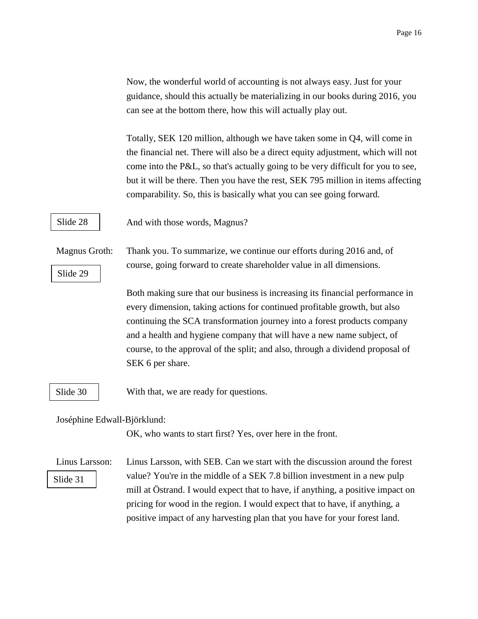Now, the wonderful world of accounting is not always easy. Just for your guidance, should this actually be materializing in our books during 2016, you can see at the bottom there, how this will actually play out.

Totally, SEK 120 million, although we have taken some in Q4, will come in the financial net. There will also be a direct equity adjustment, which will not come into the P&L, so that's actually going to be very difficult for you to see, but it will be there. Then you have the rest, SEK 795 million in items affecting comparability. So, this is basically what you can see going forward.

Slide 28

And with those words, Magnus?

Magnus Groth: Thank you. To summarize, we continue our efforts during 2016 and, of course, going forward to create shareholder value in all dimensions.

> Both making sure that our business is increasing its financial performance in every dimension, taking actions for continued profitable growth, but also continuing the SCA transformation journey into a forest products company and a health and hygiene company that will have a new name subject, of course, to the approval of the split; and also, through a dividend proposal of SEK 6 per share.

Slide 30

Slide 29

With that, we are ready for questions.

Joséphine Edwall-Björklund:

OK, who wants to start first? Yes, over here in the front.

Slide 31

Linus Larsson: Linus Larsson, with SEB. Can we start with the discussion around the forest value? You're in the middle of a SEK 7.8 billion investment in a new pulp mill at Östrand. I would expect that to have, if anything, a positive impact on pricing for wood in the region. I would expect that to have, if anything, a positive impact of any harvesting plan that you have for your forest land.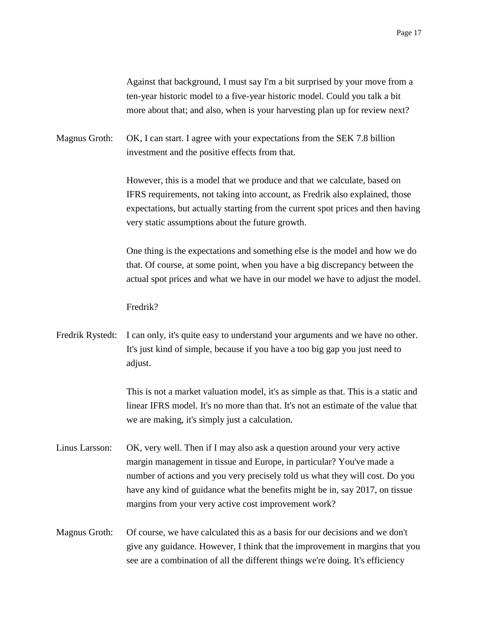Against that background, I must say I'm a bit surprised by your move from a ten-year historic model to a five-year historic model. Could you talk a bit more about that; and also, when is your harvesting plan up for review next?

Magnus Groth: OK, I can start. I agree with your expectations from the SEK 7.8 billion investment and the positive effects from that.

> However, this is a model that we produce and that we calculate, based on IFRS requirements, not taking into account, as Fredrik also explained, those expectations, but actually starting from the current spot prices and then having very static assumptions about the future growth.

> One thing is the expectations and something else is the model and how we do that. Of course, at some point, when you have a big discrepancy between the actual spot prices and what we have in our model we have to adjust the model.

Fredrik?

Fredrik Rystedt: I can only, it's quite easy to understand your arguments and we have no other. It's just kind of simple, because if you have a too big gap you just need to adjust.

> This is not a market valuation model, it's as simple as that. This is a static and linear IFRS model. It's no more than that. It's not an estimate of the value that we are making, it's simply just a calculation.

- Linus Larsson: OK, very well. Then if I may also ask a question around your very active margin management in tissue and Europe, in particular? You've made a number of actions and you very precisely told us what they will cost. Do you have any kind of guidance what the benefits might be in, say 2017, on tissue margins from your very active cost improvement work?
- Magnus Groth: Of course, we have calculated this as a basis for our decisions and we don't give any guidance. However, I think that the improvement in margins that you see are a combination of all the different things we're doing. It's efficiency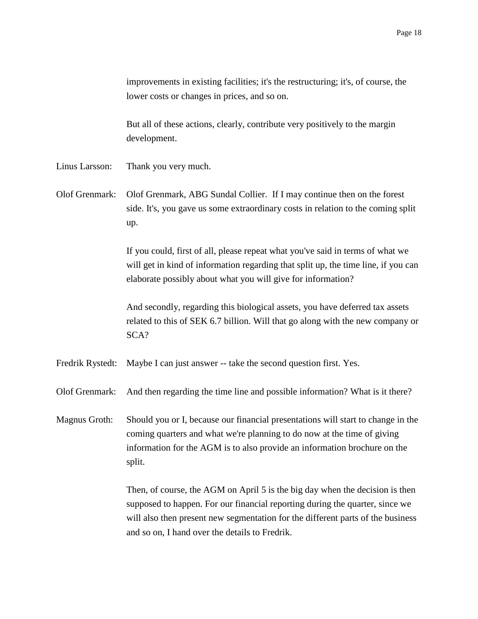improvements in existing facilities; it's the restructuring; it's, of course, the lower costs or changes in prices, and so on.

But all of these actions, clearly, contribute very positively to the margin development.

- Linus Larsson: Thank you very much.
- Olof Grenmark: Olof Grenmark, ABG Sundal Collier. If I may continue then on the forest side. It's, you gave us some extraordinary costs in relation to the coming split up.

If you could, first of all, please repeat what you've said in terms of what we will get in kind of information regarding that split up, the time line, if you can elaborate possibly about what you will give for information?

And secondly, regarding this biological assets, you have deferred tax assets related to this of SEK 6.7 billion. Will that go along with the new company or SCA?

Fredrik Rystedt: Maybe I can just answer -- take the second question first. Yes.

Olof Grenmark: And then regarding the time line and possible information? What is it there?

Magnus Groth: Should you or I, because our financial presentations will start to change in the coming quarters and what we're planning to do now at the time of giving information for the AGM is to also provide an information brochure on the split.

> Then, of course, the AGM on April 5 is the big day when the decision is then supposed to happen. For our financial reporting during the quarter, since we will also then present new segmentation for the different parts of the business and so on, I hand over the details to Fredrik.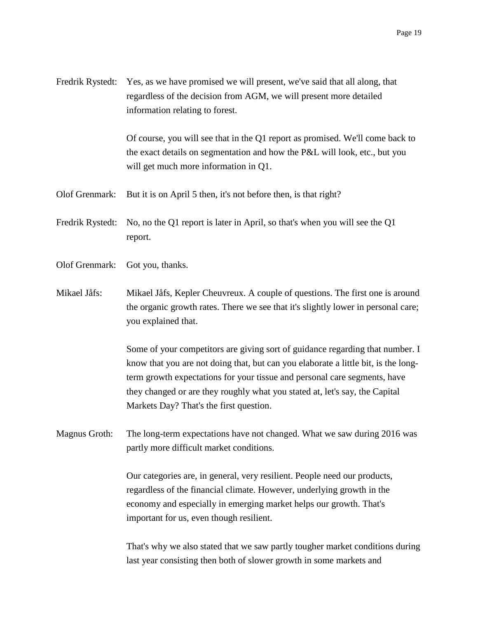Fredrik Rystedt: Yes, as we have promised we will present, we've said that all along, that regardless of the decision from AGM, we will present more detailed information relating to forest.

> Of course, you will see that in the Q1 report as promised. We'll come back to the exact details on segmentation and how the P&L will look, etc., but you will get much more information in Q1.

Olof Grenmark: But it is on April 5 then, it's not before then, is that right?

Fredrik Rystedt: No, no the Q1 report is later in April, so that's when you will see the Q1 report.

- Olof Grenmark: Got you, thanks.
- Mikael Jåfs: Mikael Jåfs, Kepler Cheuvreux. A couple of questions. The first one is around the organic growth rates. There we see that it's slightly lower in personal care; you explained that.

Some of your competitors are giving sort of guidance regarding that number. I know that you are not doing that, but can you elaborate a little bit, is the longterm growth expectations for your tissue and personal care segments, have they changed or are they roughly what you stated at, let's say, the Capital Markets Day? That's the first question.

Magnus Groth: The long-term expectations have not changed. What we saw during 2016 was partly more difficult market conditions.

> Our categories are, in general, very resilient. People need our products, regardless of the financial climate. However, underlying growth in the economy and especially in emerging market helps our growth. That's important for us, even though resilient.

That's why we also stated that we saw partly tougher market conditions during last year consisting then both of slower growth in some markets and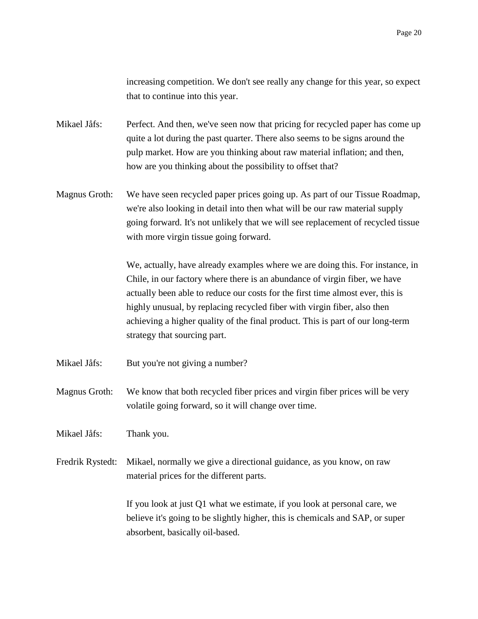increasing competition. We don't see really any change for this year, so expect that to continue into this year.

Mikael Jåfs: Perfect. And then, we've seen now that pricing for recycled paper has come up quite a lot during the past quarter. There also seems to be signs around the pulp market. How are you thinking about raw material inflation; and then, how are you thinking about the possibility to offset that?

Magnus Groth: We have seen recycled paper prices going up. As part of our Tissue Roadmap, we're also looking in detail into then what will be our raw material supply going forward. It's not unlikely that we will see replacement of recycled tissue with more virgin tissue going forward.

> We, actually, have already examples where we are doing this. For instance, in Chile, in our factory where there is an abundance of virgin fiber, we have actually been able to reduce our costs for the first time almost ever, this is highly unusual, by replacing recycled fiber with virgin fiber, also then achieving a higher quality of the final product. This is part of our long-term strategy that sourcing part.

- Mikael Jåfs: But you're not giving a number?
- Magnus Groth: We know that both recycled fiber prices and virgin fiber prices will be very volatile going forward, so it will change over time.

Mikael Jåfs: Thank you.

Fredrik Rystedt: Mikael, normally we give a directional guidance, as you know, on raw material prices for the different parts.

> If you look at just Q1 what we estimate, if you look at personal care, we believe it's going to be slightly higher, this is chemicals and SAP, or super absorbent, basically oil-based.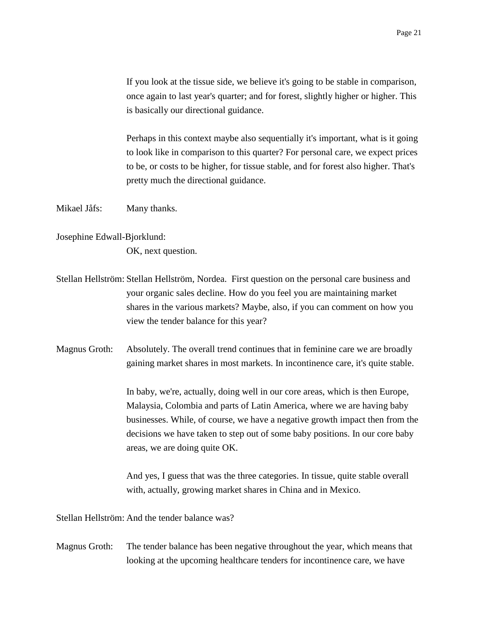If you look at the tissue side, we believe it's going to be stable in comparison, once again to last year's quarter; and for forest, slightly higher or higher. This is basically our directional guidance.

Perhaps in this context maybe also sequentially it's important, what is it going to look like in comparison to this quarter? For personal care, we expect prices to be, or costs to be higher, for tissue stable, and for forest also higher. That's pretty much the directional guidance.

Mikael Jåfs: Many thanks.

Josephine Edwall-Bjorklund:

OK, next question.

- Stellan Hellström: Stellan Hellström, Nordea. First question on the personal care business and your organic sales decline. How do you feel you are maintaining market shares in the various markets? Maybe, also, if you can comment on how you view the tender balance for this year?
- Magnus Groth: Absolutely. The overall trend continues that in feminine care we are broadly gaining market shares in most markets. In incontinence care, it's quite stable.

In baby, we're, actually, doing well in our core areas, which is then Europe, Malaysia, Colombia and parts of Latin America, where we are having baby businesses. While, of course, we have a negative growth impact then from the decisions we have taken to step out of some baby positions. In our core baby areas, we are doing quite OK.

And yes, I guess that was the three categories. In tissue, quite stable overall with, actually, growing market shares in China and in Mexico.

Stellan Hellström: And the tender balance was?

Magnus Groth: The tender balance has been negative throughout the year, which means that looking at the upcoming healthcare tenders for incontinence care, we have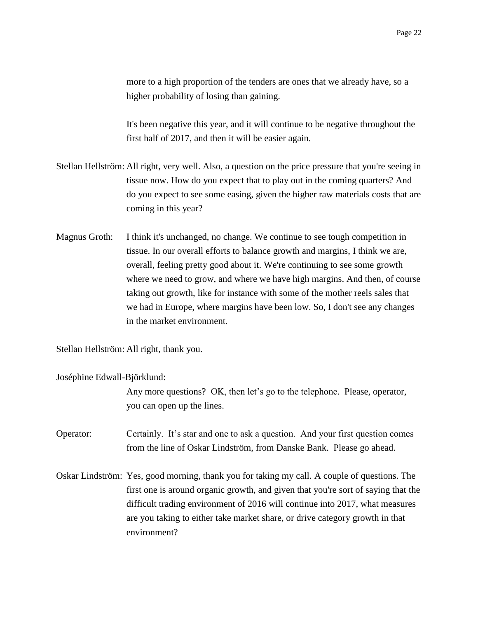more to a high proportion of the tenders are ones that we already have, so a higher probability of losing than gaining.

It's been negative this year, and it will continue to be negative throughout the first half of 2017, and then it will be easier again.

- Stellan Hellström: All right, very well. Also, a question on the price pressure that you're seeing in tissue now. How do you expect that to play out in the coming quarters? And do you expect to see some easing, given the higher raw materials costs that are coming in this year?
- Magnus Groth: I think it's unchanged, no change. We continue to see tough competition in tissue. In our overall efforts to balance growth and margins, I think we are, overall, feeling pretty good about it. We're continuing to see some growth where we need to grow, and where we have high margins. And then, of course taking out growth, like for instance with some of the mother reels sales that we had in Europe, where margins have been low. So, I don't see any changes in the market environment.

Stellan Hellström: All right, thank you.

Joséphine Edwall-Björklund:

Any more questions? OK, then let's go to the telephone. Please, operator, you can open up the lines.

Operator: Certainly. It's star and one to ask a question. And your first question comes from the line of Oskar Lindström, from Danske Bank. Please go ahead.

Oskar Lindström: Yes, good morning, thank you for taking my call. A couple of questions. The first one is around organic growth, and given that you're sort of saying that the difficult trading environment of 2016 will continue into 2017, what measures are you taking to either take market share, or drive category growth in that environment?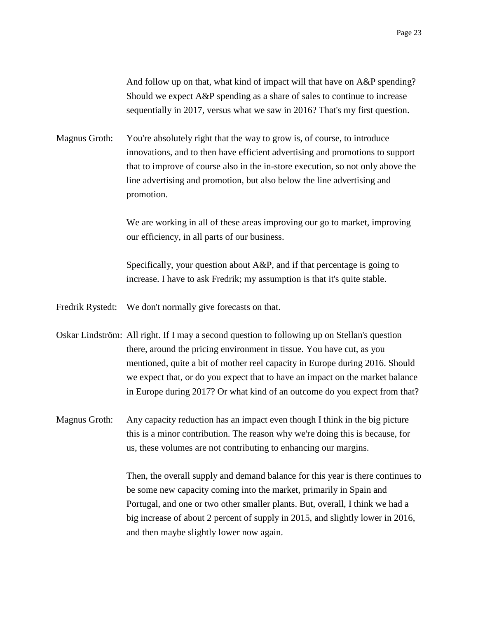And follow up on that, what kind of impact will that have on A&P spending? Should we expect A&P spending as a share of sales to continue to increase sequentially in 2017, versus what we saw in 2016? That's my first question.

Magnus Groth: You're absolutely right that the way to grow is, of course, to introduce innovations, and to then have efficient advertising and promotions to support that to improve of course also in the in-store execution, so not only above the line advertising and promotion, but also below the line advertising and promotion.

> We are working in all of these areas improving our go to market, improving our efficiency, in all parts of our business.

Specifically, your question about A&P, and if that percentage is going to increase. I have to ask Fredrik; my assumption is that it's quite stable.

Fredrik Rystedt: We don't normally give forecasts on that.

Oskar Lindström: All right. If I may a second question to following up on Stellan's question there, around the pricing environment in tissue. You have cut, as you mentioned, quite a bit of mother reel capacity in Europe during 2016. Should we expect that, or do you expect that to have an impact on the market balance in Europe during 2017? Or what kind of an outcome do you expect from that?

Magnus Groth: Any capacity reduction has an impact even though I think in the big picture this is a minor contribution. The reason why we're doing this is because, for us, these volumes are not contributing to enhancing our margins.

> Then, the overall supply and demand balance for this year is there continues to be some new capacity coming into the market, primarily in Spain and Portugal, and one or two other smaller plants. But, overall, I think we had a big increase of about 2 percent of supply in 2015, and slightly lower in 2016, and then maybe slightly lower now again.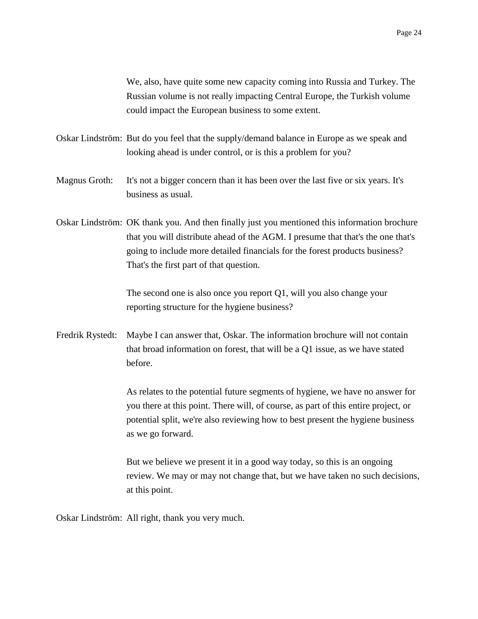We, also, have quite some new capacity coming into Russia and Turkey. The Russian volume is not really impacting Central Europe, the Turkish volume could impact the European business to some extent.

- Oskar Lindström: But do you feel that the supply/demand balance in Europe as we speak and looking ahead is under control, or is this a problem for you?
- Magnus Groth: It's not a bigger concern than it has been over the last five or six years. It's business as usual.
- Oskar Lindström: OK thank you. And then finally just you mentioned this information brochure that you will distribute ahead of the AGM. I presume that that's the one that's going to include more detailed financials for the forest products business? That's the first part of that question.

The second one is also once you report Q1, will you also change your reporting structure for the hygiene business?

Fredrik Rystedt: Maybe I can answer that, Oskar. The information brochure will not contain that broad information on forest, that will be a Q1 issue, as we have stated before.

> As relates to the potential future segments of hygiene, we have no answer for you there at this point. There will, of course, as part of this entire project, or potential split, we're also reviewing how to best present the hygiene business as we go forward.

But we believe we present it in a good way today, so this is an ongoing review. We may or may not change that, but we have taken no such decisions, at this point.

Oskar Lindström: All right, thank you very much.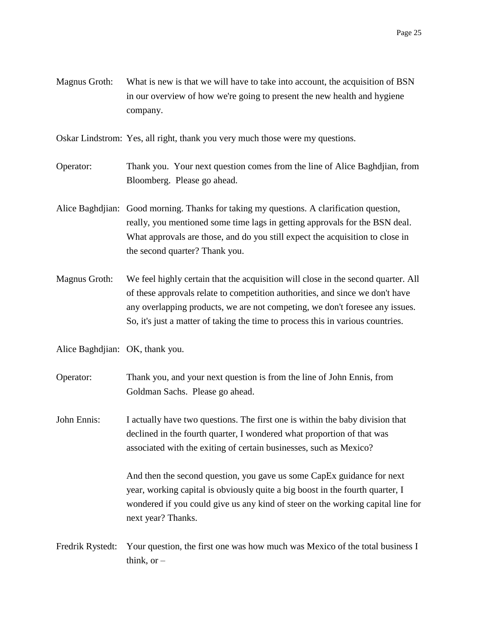Magnus Groth: What is new is that we will have to take into account, the acquisition of BSN in our overview of how we're going to present the new health and hygiene company.

Oskar Lindstrom: Yes, all right, thank you very much those were my questions.

- Operator: Thank you. Your next question comes from the line of Alice Baghdjian, from Bloomberg. Please go ahead.
- Alice Baghdjian: Good morning. Thanks for taking my questions. A clarification question, really, you mentioned some time lags in getting approvals for the BSN deal. What approvals are those, and do you still expect the acquisition to close in the second quarter? Thank you.
- Magnus Groth: We feel highly certain that the acquisition will close in the second quarter. All of these approvals relate to competition authorities, and since we don't have any overlapping products, we are not competing, we don't foresee any issues. So, it's just a matter of taking the time to process this in various countries.
- Alice Baghdjian: OK, thank you.
- Operator: Thank you, and your next question is from the line of John Ennis, from Goldman Sachs. Please go ahead.
- John Ennis: I actually have two questions. The first one is within the baby division that declined in the fourth quarter, I wondered what proportion of that was associated with the exiting of certain businesses, such as Mexico?

And then the second question, you gave us some CapEx guidance for next year, working capital is obviously quite a big boost in the fourth quarter, I wondered if you could give us any kind of steer on the working capital line for next year? Thanks.

Fredrik Rystedt: Your question, the first one was how much was Mexico of the total business I think, or  $-$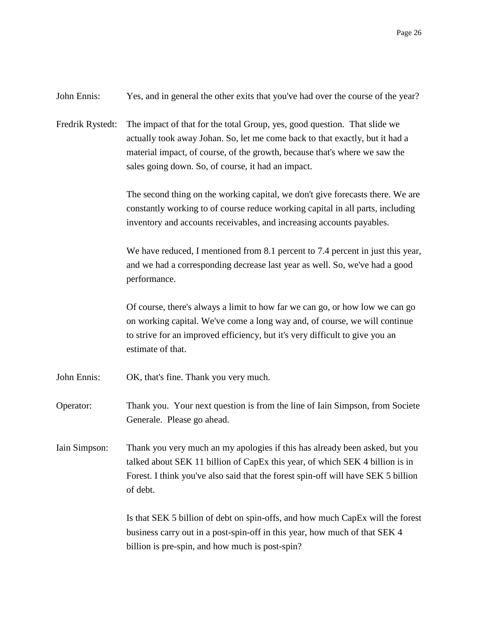| John Ennis:      | Yes, and in general the other exits that you've had over the course of the year?                                                                                                                                                                                                              |
|------------------|-----------------------------------------------------------------------------------------------------------------------------------------------------------------------------------------------------------------------------------------------------------------------------------------------|
| Fredrik Rystedt: | The impact of that for the total Group, yes, good question. That slide we<br>actually took away Johan. So, let me come back to that exactly, but it had a<br>material impact, of course, of the growth, because that's where we saw the<br>sales going down. So, of course, it had an impact. |
|                  | The second thing on the working capital, we don't give forecasts there. We are<br>constantly working to of course reduce working capital in all parts, including<br>inventory and accounts receivables, and increasing accounts payables.                                                     |
|                  | We have reduced, I mentioned from 8.1 percent to 7.4 percent in just this year,<br>and we had a corresponding decrease last year as well. So, we've had a good<br>performance.                                                                                                                |
|                  | Of course, there's always a limit to how far we can go, or how low we can go<br>on working capital. We've come a long way and, of course, we will continue<br>to strive for an improved efficiency, but it's very difficult to give you an<br>estimate of that.                               |
| John Ennis:      | OK, that's fine. Thank you very much.                                                                                                                                                                                                                                                         |
| Operator:        | Thank you. Your next question is from the line of Iain Simpson, from Societe<br>Generale. Please go ahead.                                                                                                                                                                                    |
| Iain Simpson:    | Thank you very much an my apologies if this has already been asked, but you<br>talked about SEK 11 billion of CapEx this year, of which SEK 4 billion is in<br>Forest. I think you've also said that the forest spin-off will have SEK 5 billion<br>of debt.                                  |
|                  | Is that SEK 5 billion of debt on spin-offs, and how much CapEx will the forest<br>business carry out in a post-spin-off in this year, how much of that SEK 4<br>billion is pre-spin, and how much is post-spin?                                                                               |